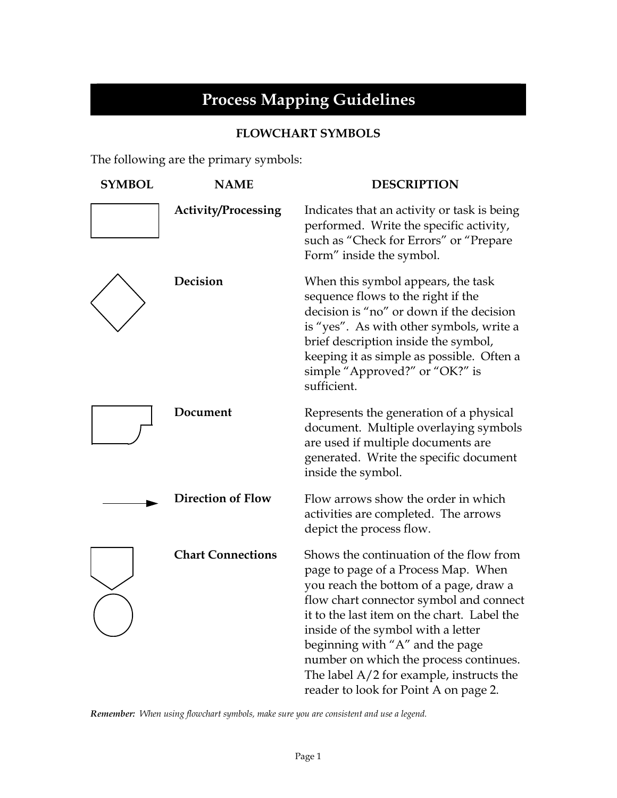## **Process Mapping Guidelines**

## **FLOWCHART SYMBOLS**

The following are the primary symbols:

| <b>SYMBOL</b> | <b>NAME</b>                | <b>DESCRIPTION</b>                                                                                                                                                                                                                                                                                                                                                                                                           |
|---------------|----------------------------|------------------------------------------------------------------------------------------------------------------------------------------------------------------------------------------------------------------------------------------------------------------------------------------------------------------------------------------------------------------------------------------------------------------------------|
|               | <b>Activity/Processing</b> | Indicates that an activity or task is being<br>performed. Write the specific activity,<br>such as "Check for Errors" or "Prepare<br>Form" inside the symbol.                                                                                                                                                                                                                                                                 |
|               | Decision                   | When this symbol appears, the task<br>sequence flows to the right if the<br>decision is "no" or down if the decision<br>is "yes". As with other symbols, write a<br>brief description inside the symbol,<br>keeping it as simple as possible. Often a<br>simple "Approved?" or "OK?" is<br>sufficient.                                                                                                                       |
|               | Document                   | Represents the generation of a physical<br>document. Multiple overlaying symbols<br>are used if multiple documents are<br>generated. Write the specific document<br>inside the symbol.                                                                                                                                                                                                                                       |
|               | <b>Direction of Flow</b>   | Flow arrows show the order in which<br>activities are completed. The arrows<br>depict the process flow.                                                                                                                                                                                                                                                                                                                      |
|               | <b>Chart Connections</b>   | Shows the continuation of the flow from<br>page to page of a Process Map. When<br>you reach the bottom of a page, draw a<br>flow chart connector symbol and connect<br>it to the last item on the chart. Label the<br>inside of the symbol with a letter<br>beginning with "A" and the page<br>number on which the process continues.<br>The label $A/2$ for example, instructs the<br>reader to look for Point A on page 2. |

*Remember: When using flowchart symbols, make sure you are consistent and use a legend.*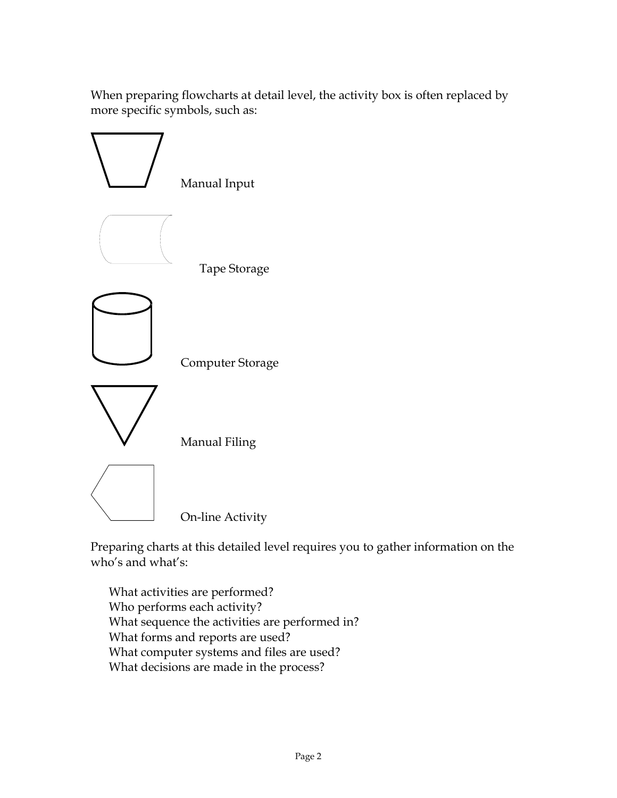When preparing flowcharts at detail level, the activity box is often replaced by more specific symbols, such as:



Preparing charts at this detailed level requires you to gather information on the who's and what's:

 What activities are performed? Who performs each activity? What sequence the activities are performed in? What forms and reports are used? What computer systems and files are used? What decisions are made in the process?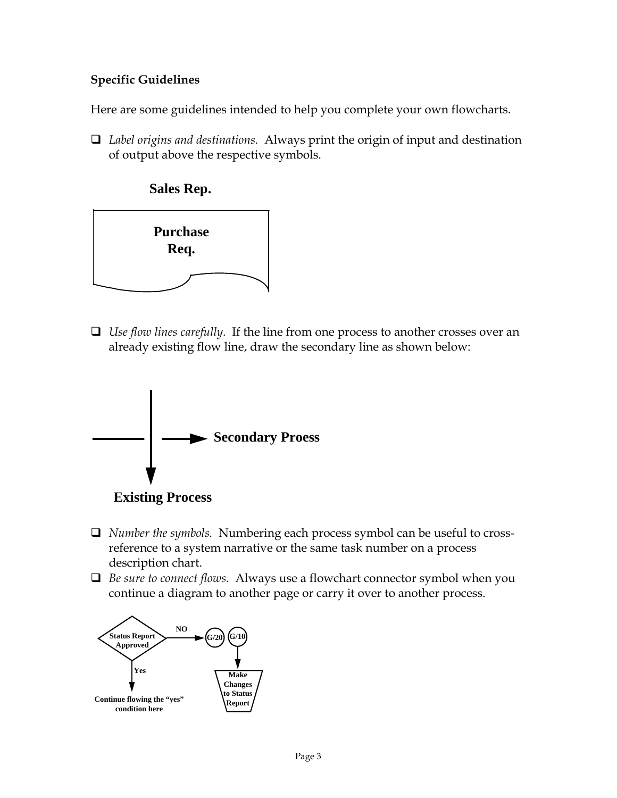## **Specific Guidelines**

Here are some guidelines intended to help you complete your own flowcharts.

 *Label origins and destinations.* Always print the origin of input and destination of output above the respective symbols.



 *Use flow lines carefully.* If the line from one process to another crosses over an already existing flow line, draw the secondary line as shown below:





- *Number the symbols.* Numbering each process symbol can be useful to crossreference to a system narrative or the same task number on a process description chart.
- *Be sure to connect flows.* Always use a flowchart connector symbol when you continue a diagram to another page or carry it over to another process.

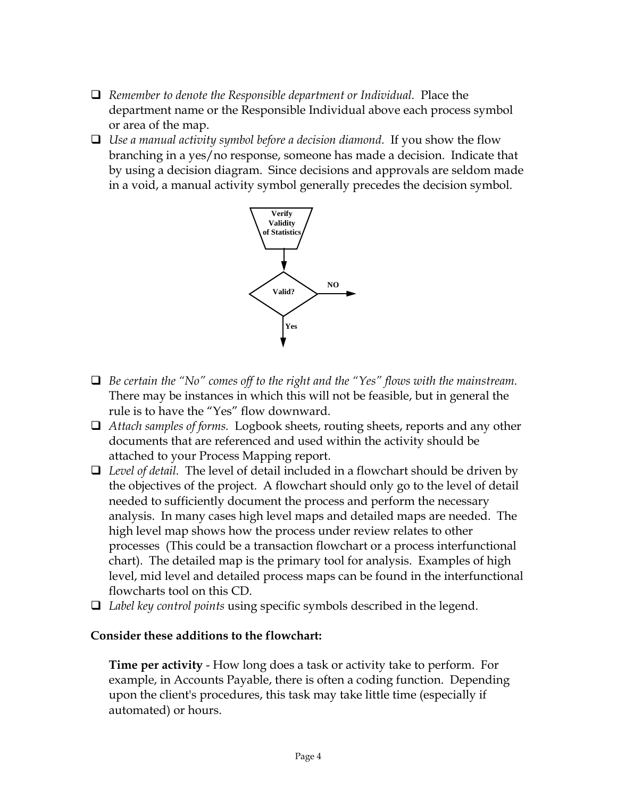- *Remember to denote the Responsible department or Individual.* Place the department name or the Responsible Individual above each process symbol or area of the map.
- *Use a manual activity symbol before a decision diamond.* If you show the flow branching in a yes/no response, someone has made a decision. Indicate that by using a decision diagram. Since decisions and approvals are seldom made in a void, a manual activity symbol generally precedes the decision symbol.



- *Be certain the "No" comes off to the right and the "Yes" flows with the mainstream.* There may be instances in which this will not be feasible, but in general the rule is to have the "Yes" flow downward.
- *Attach samples of forms.* Logbook sheets, routing sheets, reports and any other documents that are referenced and used within the activity should be attached to your Process Mapping report.
- *Level of detail.* The level of detail included in a flowchart should be driven by the objectives of the project. A flowchart should only go to the level of detail needed to sufficiently document the process and perform the necessary analysis. In many cases high level maps and detailed maps are needed. The high level map shows how the process under review relates to other processes (This could be a transaction flowchart or a process interfunctional chart). The detailed map is the primary tool for analysis. Examples of high level, mid level and detailed process maps can be found in the interfunctional flowcharts tool on this CD.
- *Label key control points* using specific symbols described in the legend.

## **Consider these additions to the flowchart:**

 **Time per activity** - How long does a task or activity take to perform. For example, in Accounts Payable, there is often a coding function. Depending upon the client's procedures, this task may take little time (especially if automated) or hours.